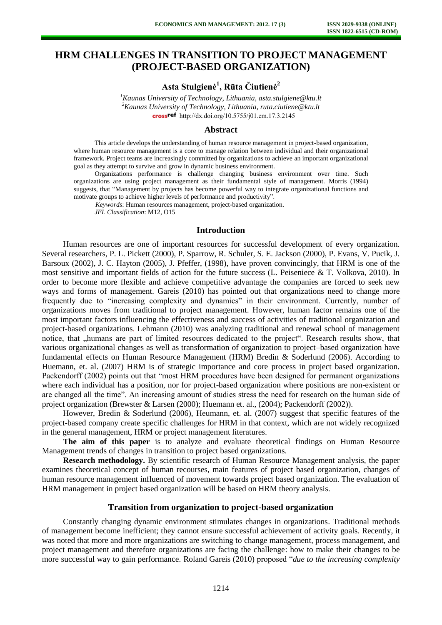# **HRM CHALLENGES IN TRANSITION TO PROJECT MANAGEMENT (PROJECT-BASED ORGANIZATION)**

**Asta Stulgienė<sup>1</sup> , Rūta Čiutienė<sup>2</sup>**

*<sup>1</sup>Kaunas University of Technology, Lithuania, [asta.stulgiene@ktu.lt](mailto:asta.stulgiene@ktu.lt) <sup>2</sup>Kaunas University of Technology, Lithuania[, ruta.ciutiene@ktu.lt](mailto:ruta.ciutiene@ktu.lt)* crossref [http://dx.doi.org/10.5755/j01.e](http://dx.doi.org/10.5755/j01.em.17.3.2145)m.17.3.2145

#### **Abstract**

This article develops the understanding of human resource management in project-based organization, where human resource management is a core to manage relation between individual and their organizational framework. Project teams are increasingly committed by organizations to achieve an important organizational goal as they attempt to survive and grow in dynamic business environment.

Organizations performance is challenge changing business environment over time. Such organizations are using project management as their fundamental style of management. Morris (1994) suggests, that "Management by projects has become powerful way to integrate organizational functions and motivate groups to achieve higher levels of performance and productivity".

*Keywords*: Human resources management, project-based organization.

*JEL Classification*: M12, O15

# **Introduction**

Human resources are one of important resources for successful development of every organization. Several researchers, P. L. Pickett (2000), P. Sparrow, R. Schuler, S. E. Jackson (2000), P. Evans, V. Pucik, J. Barsoux (2002), J. C. Hayton (2005), J. Pfeffer, (1998), have proven convincingly, that HRM is one of the most sensitive and important fields of action for the future success (L. Peiseniece & T. Volkova, 2010). In order to become more flexible and achieve competitive advantage the companies are forced to seek new ways and forms of management. Gareis (2010) has pointed out that organizations need to change more frequently due to "increasing complexity and dynamics" in their environment. Currently, number of organizations moves from traditional to project management. However, human factor remains one of the most important factors influencing the effectiveness and success of activities of traditional organization and project-based organizations. Lehmann (2010) was analyzing traditional and renewal school of management notice, that "humans are part of limited resources dedicated to the project". Research results show, that various organizational changes as well as transformation of organization to project–based organization have fundamental effects on Human Resource Management (HRM) Bredin & Soderlund (2006). According to Huemann, et. al. (2007) HRM is of strategic importance and core process in project based organization. Packendorff (2002) points out that "most HRM procedures have been designed for permanent organizations where each individual has a position, nor for project-based organization where positions are non-existent or are changed all the time". An increasing amount of studies stress the need for research on the human side of project organization (Brewster & Larsen (2000); Huemann et. al., (2004); Packendorff (2002)).

However, Bredin & Soderlund (2006), Heumann, et. al. (2007) suggest that specific features of the project-based company create specific challenges for HRM in that context, which are not widely recognized in the general management, HRM or project management literatures.

**The aim of this paper** is to analyze and evaluate theoretical findings on Human Resource Management trends of changes in transition to project based organizations.

**Research methodology.** By scientific research of Human Resource Management analysis, the paper examines theoretical concept of human recourses, main features of project based organization, changes of human resource management influenced of movement towards project based organization. The evaluation of HRM management in project based organization will be based on HRM theory analysis.

#### **Transition from organization to project-based organization**

Constantly changing dynamic environment stimulates changes in organizations. Traditional methods of management become inefficient; they cannot ensure successful achievement of activity goals. Recently, it was noted that more and more organizations are switching to change management, process management, and project management and therefore organizations are facing the challenge: how to make their changes to be more successful way to gain performance. Roland Gareis (2010) proposed "*due to the increasing complexity*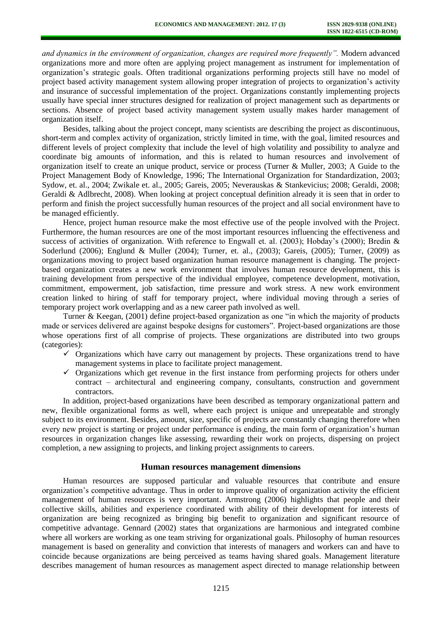*and dynamics in the environment of organization, changes are required more frequently".* Modern advanced organizations more and more often are applying project management as instrument for implementation of organization's strategic goals. Often traditional organizations performing projects still have no model of project based activity management system allowing proper integration of projects to organization's activity and insurance of successful implementation of the project. Organizations constantly implementing projects usually have special inner structures designed for realization of project management such as departments or sections. Absence of project based activity management system usually makes harder management of organization itself.

Besides, talking about the project concept, many scientists are describing the project as discontinuous, short-term and complex activity of organization, strictly limited in time, with the goal, limited resources and different levels of project complexity that include the level of high volatility and possibility to analyze and coordinate big amounts of information, and this is related to human resources and involvement of organization itself to create an unique product, service or process (Turner & Muller, 2003; A Guide to the Project Management Body of Knowledge, 1996; The International Organization for Standardization, 2003; Sydow, et. al., 2004; Zwikale et. al., 2005; Gareis, 2005; Neverauskas & Stankevicius; 2008; Geraldi, 2008; Geraldi & Adlbrecht, 2008). When looking at project conceptual definition already it is seen that in order to perform and finish the project successfully human resources of the project and all social environment have to be managed efficiently.

Hence, project human resource make the most effective use of the people involved with the Project. Furthermore, the human resources are one of the most important resources influencing the effectiveness and success of activities of organization. With reference to Engwall et. al. (2003); Hobday's (2000); Bredin & Soderlund (2006); Englund & Muller (2004); Turner, et. al., (2003); Gareis, (2005); Turner, (2009) as organizations moving to project based organization human resource management is changing. The projectbased organization creates a new work environment that involves human resource development, this is training development from perspective of the individual employee, competence development, motivation, commitment, empowerment, job satisfaction, time pressure and work stress. A new work environment creation linked to hiring of staff for temporary project, where individual moving through a series of temporary project work overlapping and as a new career path involved as well.

Turner & Keegan, (2001) define project-based organization as one "in which the majority of products made or services delivered are against bespoke designs for customers". Project-based organizations are those whose operations first of all comprise of projects. These organizations are distributed into two groups (categories):

- $\checkmark$  Organizations which have carry out management by projects. These organizations trend to have management systems in place to facilitate project management.
- $\checkmark$  Organizations which get revenue in the first instance from performing projects for others under contract – architectural and engineering company, consultants, construction and government contractors.

In addition, project-based organizations have been described as temporary organizational pattern and new, flexible organizational forms as well, where each project is unique and unrepeatable and strongly subject to its environment. Besides, amount, size, specific of projects are constantly changing therefore when every new project is starting or project under performance is ending, the main form of organization's human resources in organization changes like assessing, rewarding their work on projects, dispersing on project completion, a new assigning to projects, and linking project assignments to careers.

#### **Human resources management dimensions**

Human resources are supposed particular and valuable resources that contribute and ensure organization's competitive advantage. Thus in order to improve quality of organization activity the efficient management of human resources is very important. Armstrong (2006) highlights that people and their collective skills, abilities and experience coordinated with ability of their development for interests of organization are being recognized as bringing big benefit to organization and significant resource of competitive advantage. Gennard (2002) states that organizations are harmonious and integrated combine where all workers are working as one team striving for organizational goals. Philosophy of human resources management is based on generality and conviction that interests of managers and workers can and have to coincide because organizations are being perceived as teams having shared goals. Management literature describes management of human resources as management aspect directed to manage relationship between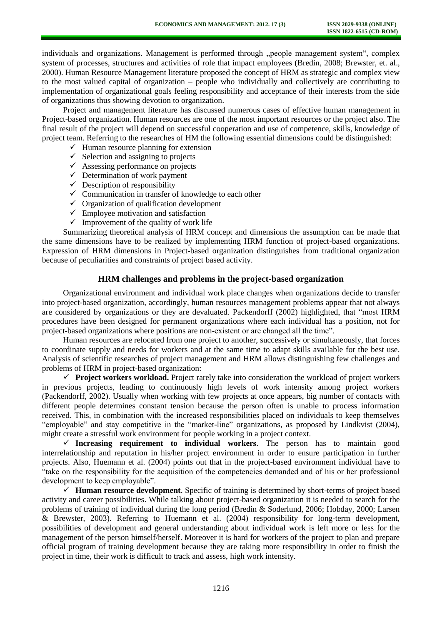individuals and organizations. Management is performed through "people management system", complex system of processes, structures and activities of role that impact employees (Bredin, 2008; Brewster, et. al., 2000). Human Resource Management literature proposed the concept of HRM as strategic and complex view to the most valued capital of organization – people who individually and collectively are contributing to implementation of organizational goals feeling responsibility and acceptance of their interests from the side of organizations thus showing devotion to organization.

Project and management literature has discussed numerous cases of effective human management in Project-based organization. Human resources are one of the most important resources or the project also. The final result of the project will depend on successful cooperation and use of competence, skills, knowledge of project team. Referring to the researches of HM the following essential dimensions could be distinguished:

- $\checkmark$  Human resource planning for extension
- $\checkmark$  Selection and assigning to projects
- $\checkmark$  Assessing performance on projects
- $\checkmark$  Determination of work payment
- $\checkmark$  Description of responsibility
- $\checkmark$  Communication in transfer of knowledge to each other
- $\checkmark$  Organization of qualification development
- $\checkmark$  Employee motivation and satisfaction
- $\checkmark$  Improvement of the quality of work life

Summarizing theoretical analysis of HRM concept and dimensions the assumption can be made that the same dimensions have to be realized by implementing HRM function of project-based organizations. Expression of HRM dimensions in Project-based organization distinguishes from traditional organization because of peculiarities and constraints of project based activity.

# **HRM challenges and problems in the project-based organization**

Organizational environment and individual work place changes when organizations decide to transfer into project-based organization, accordingly, human resources management problems appear that not always are considered by organizations or they are devaluated. Packendorff (2002) highlighted, that "most HRM procedures have been designed for permanent organizations where each individual has a position, not for project-based organizations where positions are non-existent or are changed all the time".

Human resources are relocated from one project to another, successively or simultaneously, that forces to coordinate supply and needs for workers and at the same time to adapt skills available for the best use. Analysis of scientific researches of project management and HRM allows distinguishing few challenges and problems of HRM in project-based organization:

 **Project workers workload.** Project rarely take into consideration the workload of project workers in previous projects, leading to continuously high levels of work intensity among project workers (Packendorff, 2002). Usually when working with few projects at once appears, big number of contacts with different people determines constant tension because the person often is unable to process information received. This, in combination with the increased responsibilities placed on individuals to keep themselves "employable" and stay competitive in the "market-line" organizations, as proposed by Lindkvist (2004), might create a stressful work environment for people working in a project context.

 **Increasing requirement to individual workers**. The person has to maintain good interrelationship and reputation in his/her project environment in order to ensure participation in further projects. Also, Huemann et al. (2004) points out that in the project-based environment individual have to "take on the responsibility for the acquisition of the competencies demanded and of his or her professional development to keep employable".

 $\checkmark$  **Human resource development**. Specific of training is determined by short-terms of project based activity and career possibilities. While talking about project-based organization it is needed to search for the problems of training of individual during the long period (Bredin & Soderlund, 2006; Hobday, 2000; Larsen & Brewster, 2003). Referring to Huemann et al. (2004) responsibility for long-term development, possibilities of development and general understanding about individual work is left more or less for the management of the person himself/herself. Moreover it is hard for workers of the project to plan and prepare official program of training development because they are taking more responsibility in order to finish the project in time, their work is difficult to track and assess, high work intensity.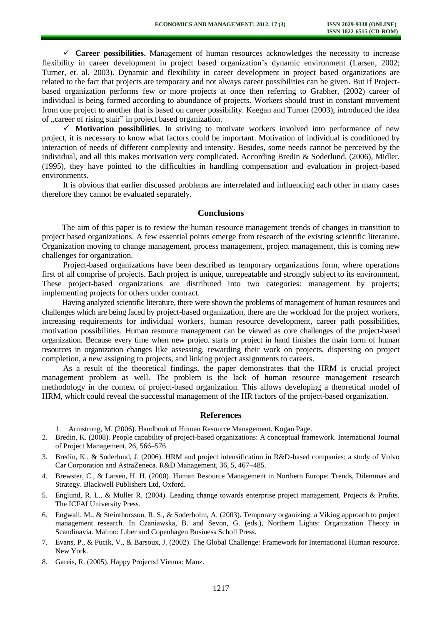$\checkmark$  Career possibilities. Management of human resources acknowledges the necessity to increase flexibility in career development in project based organization's dynamic environment (Larsen, 2002; Turner, et. al. 2003). Dynamic and flexibility in career development in project based organizations are related to the fact that projects are temporary and not always career possibilities can be given. But if Projectbased organization performs few or more projects at once then referring to Grabher, (2002) career of individual is being formed according to abundance of projects. Workers should trust in constant movement from one project to another that is based on career possibility. Keegan and Turner (2003), introduced the idea of "career of rising stair" in project based organization.

 $\checkmark$  **Motivation possibilities**. In striving to motivate workers involved into performance of new project, it is necessary to know what factors could be important. Motivation of individual is conditioned by interaction of needs of different complexity and intensity. Besides, some needs cannot be perceived by the individual, and all this makes motivation very complicated. According Bredin & Soderlund, (2006), Midler, (1995), they have pointed to the difficulties in handling compensation and evaluation in project-based environments.

It is obvious that earlier discussed problems are interrelated and influencing each other in many cases therefore they cannot be evaluated separately.

# **Conclusions**

The aim of this paper is to review the human resource management trends of changes in transition to project based organizations. A few essential points emerge from research of the existing scientific literature. Organization moving to change management, process management, project management, this is coming new challenges for organization.

Project-based organizations have been described as temporary organizations form, where operations first of all comprise of projects. Each project is unique, unrepeatable and strongly subject to its environment. These project-based organizations are distributed into two categories: management by projects; implementing projects for others under contract.

Having analyzed scientific literature, there were shown the problems of management of human resources and challenges which are being faced by project-based organization, there are the workload for the project workers, increasing requirements for individual workers, human resource development, career path possibilities, motivation possibilities. Human resource management can be viewed as core challenges of the project-based organization. Because every time when new project starts or project in hand finishes the main form of human resources in organization changes like assessing, rewarding their work on projects, dispersing on project completion, a new assigning to projects, and linking project assignments to careers.

As a result of the theoretical findings, the paper demonstrates that the HRM is crucial project management problem as well. The problem is the lack of human resource management research methodology in the context of project-based organization. This allows developing a theoretical model of HRM, which could reveal the successful management of the HR factors of the project-based organization.

# **References**

1. Armstrong, M. (2006). Handbook of Human Resource Management. Kogan Page.

- 2. Bredin, K. (2008). People capability of project-based organizations: A conceptual framework. International Journal of Project Management, 26, 566–576.
- 3. Bredin, K., & Soderlund, J. (2006). HRM and project intensification in R&D-based companies: a study of Volvo Car Corporation and AstraZeneca. R&D Management, 36, 5, 467–485.
- 4. Brewster, C., & Larsen, H. H. (2000). Human Resource Management in Northern Europe: Trends, Dilemmas and Strategy. Blackwell Publishers Ltd, Oxford.
- 5. Englund, R. L., & Muller R. (2004). Leading change towards enterprise project management. Projects & Profits. The ICFAI University Press.
- 6. Engwall, M., & Steinthorsson, R. S., & Soderholm, A. (2003). Temporary organizing: a Viking approach to project management research. In Czaniawska, B. and Sevon, G. (eds.), Northern Lights: Organization Theory in Scandinavia. Malmo: Liber and Copenhagen Business Scholl Press.
- 7. Evans, P., & Pucik, V., & Barsoux, J. (2002). The Global Challenge: Framework for International Human resource. New York.
- 8. Gareis, R. (2005). Happy Projects! Vienna: Manz.